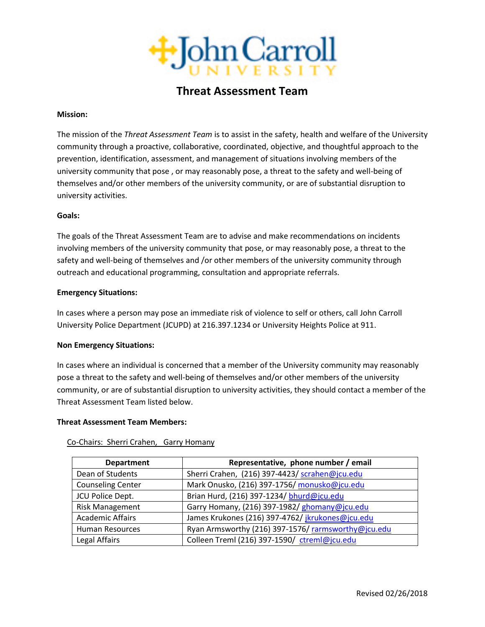

# **Threat Assessment Team**

#### **Mission:**

The mission of the *Threat Assessment Team* is to assist in the safety, health and welfare of the University community through a proactive, collaborative, coordinated, objective, and thoughtful approach to the prevention, identification, assessment, and management of situations involving members of the university community that pose , or may reasonably pose, a threat to the safety and well-being of themselves and/or other members of the university community, or are of substantial disruption to university activities.

## **Goals:**

The goals of the Threat Assessment Team are to advise and make recommendations on incidents involving members of the university community that pose, or may reasonably pose, a threat to the safety and well-being of themselves and /or other members of the university community through outreach and educational programming, consultation and appropriate referrals.

## **Emergency Situations:**

In cases where a person may pose an immediate risk of violence to self or others, call John Carroll University Police Department (JCUPD) at 216.397.1234 or University Heights Police at 911.

# **Non Emergency Situations:**

In cases where an individual is concerned that a member of the University community may reasonably pose a threat to the safety and well-being of themselves and/or other members of the university community, or are of substantial disruption to university activities, they should contact a member of the Threat Assessment Team listed below.

#### **Threat Assessment Team Members:**

| <b>Department</b>        | Representative, phone number / email               |
|--------------------------|----------------------------------------------------|
| Dean of Students         | Sherri Crahen, (216) 397-4423/ scrahen@jcu.edu     |
| <b>Counseling Center</b> | Mark Onusko, (216) 397-1756/ monusko@jcu.edu       |
| JCU Police Dept.         | Brian Hurd, (216) 397-1234/ bhurd@jcu.edu          |
| <b>Risk Management</b>   | Garry Homany, (216) 397-1982/ ghomany@jcu.edu      |
| <b>Academic Affairs</b>  | James Krukones (216) 397-4762/ jkrukones@jcu.edu   |
| <b>Human Resources</b>   | Ryan Armsworthy (216) 397-1576/rarmsworthy@jcu.edu |
| Legal Affairs            | Colleen Treml (216) 397-1590/ ctreml@jcu.edu       |

#### Co-Chairs: Sherri Crahen, Garry Homany